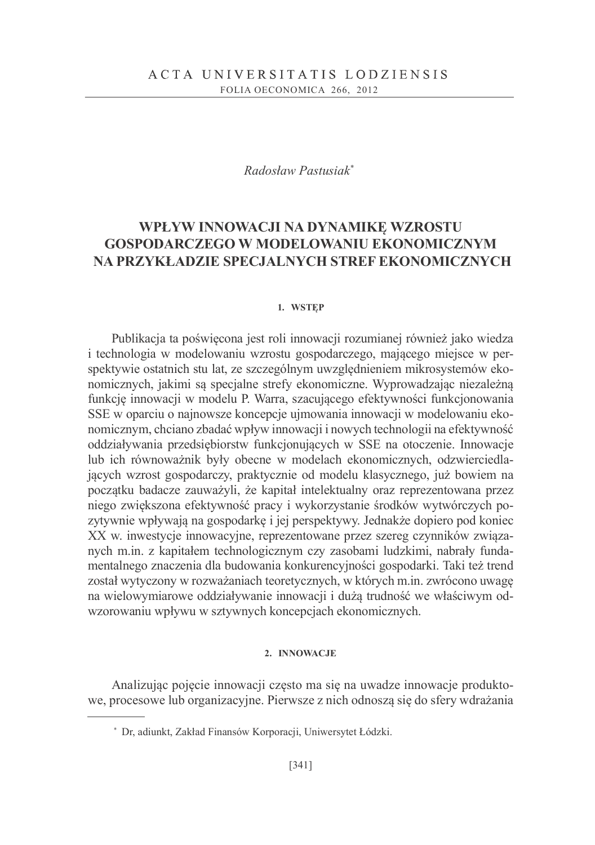# Radosław Pastusiak\*

# WPŁYW INNOWACJI NA DYNAMIKE WZROSTU **GOSPODARCZEGO W MODELOWANIU EKONOMICZNYM** NA PRZYKŁADZIE SPECJALNYCH STREF EKONOMICZNYCH

### 1. WSTEP

Publikacja ta poświęcona jest roli innowacji rozumianej również jako wiedza i technologia w modelowaniu wzrostu gospodarczego, mającego miejsce w perspektywie ostatnich stu lat, ze szczególnym uwzględnieniem mikrosystemów ekonomicznych, jakimi są specjalne strefy ekonomiczne. Wyprowadzając niezależną funkcję innowacji w modelu P. Warra, szacującego efektywności funkcjonowania SSE w oparciu o najnowsze koncepcje ujmowania innowacji w modelowaniu ekonomicznym, chciano zbadać wpływ innowacji i nowych technologii na efektywność oddziaływania przedsiębiorstw funkcjonujących w SSE na otoczenie. Innowacje lub ich równoważnik były obecne w modelach ekonomicznych, odzwierciedlajacych wzrost gospodarczy, praktycznie od modelu klasycznego, już bowiem na początku badacze zauważyli, że kapitał intelektualny oraz reprezentowana przez niego zwiększona efektywność pracy i wykorzystanie środków wytwórczych pozytywnie wpływają na gospodarke i jej perspektywy. Jednakże dopiero pod koniec XX w. inwestycje innowacyjne, reprezentowane przez szereg czynników związanych m.in. z kapitałem technologicznym czy zasobami ludzkimi, nabrały fundamentalnego znaczenia dla budowania konkurencyjności gospodarki. Taki też trend został wytyczony w rozważaniach teoretycznych, w których m.in. zwrócono uwagę na wielowymiarowe oddziaływanie innowacji i dużą trudność we właściwym odwzorowaniu wpływu w sztywnych koncepcjach ekonomicznych.

#### 2. INNOWACJE

Analizując pojęcie innowacji często ma się na uwadze innowacje produktowe, procesowe lub organizacyjne. Pierwsze z nich odnoszą się do sfery wdrażania

<sup>\*</sup> Dr, adiunkt, Zakład Finansów Korporacji, Uniwersytet Łódzki.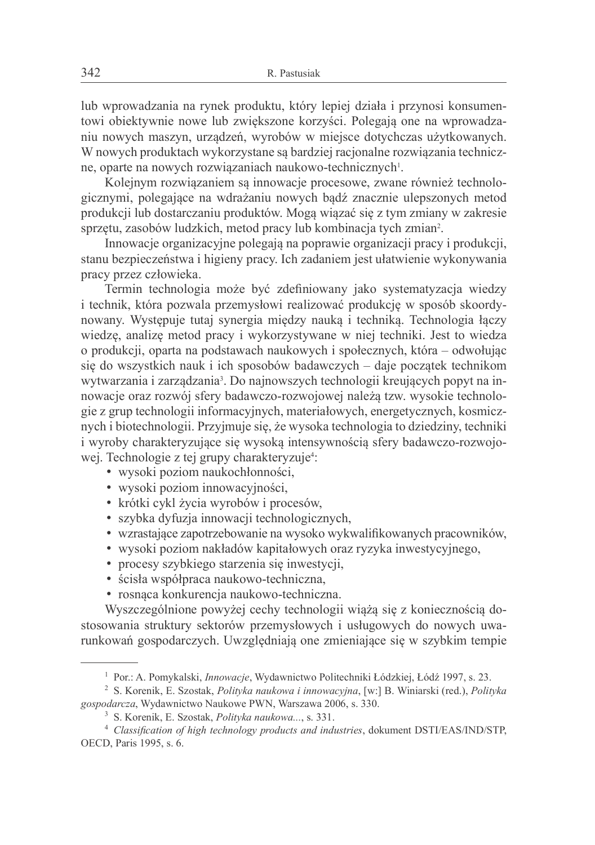lub wprowadzania na rynek produktu, który lepiej działa i przynosi konsumentowi objektywnie nowe lub zwiększone korzyści. Polegają one na wprowadzaniu nowych maszyn, urządzeń, wyrobów w miejsce dotychczas użytkowanych. W nowych produktach wykorzystane są bardziej racjonalne rozwiązania techniczne, oparte na nowych rozwiązaniach naukowo-technicznych<sup>1</sup>.

Kolejnym rozwiązaniem są innowacje procesowe, zwane również technologicznymi, polegające na wdrażaniu nowych badź znacznie ulepszonych metod produkcji lub dostarczaniu produktów. Mogą wiązać się z tym zmiany w zakresie sprzetu, zasobów ludzkich, metod pracy lub kombinacja tych zmian<sup>2</sup>.

Innowacje organizacyjne polegają na poprawie organizacji pracy i produkcji, stanu bezpieczeństwa i higieny pracy. Ich zadaniem jest ułatwienie wykonywania pracy przez człowieka.

Termin technologia może być zdefiniowany jako systematyzacja wiedzy i technik, która pozwala przemysłowi realizować produkcję w sposób skoordynowany. Występuje tutaj synergia między nauką i technika. Technologia łączy wiedzę, analizę metod pracy i wykorzystywane w niej techniki. Jest to wiedza o produkcji, oparta na podstawach naukowych i społecznych, która – odwołując się do wszystkich nauk i ich sposobów badawczych – daje początek technikom wytwarzania i zarządzania<sup>3</sup>. Do najnowszych technologii kreujących popyt na innowacje oraz rozwój sfery badawczo-rozwojowej należą tzw. wysokie technologie z grup technologii informacyjnych, materiałowych, energetycznych, kosmicznych i biotechnologii. Przyjmuje się, że wysoka technologia to dziedziny, techniki i wyroby charakteryzujące się wysoką intensywnością sfery badawczo-rozwojowej. Technologie z tej grupy charakteryzuje<sup>4</sup>:

- · wysoki poziom naukochłonności,
- wysoki poziom innowacyjności,
- krótki cykl życia wyrobów i procesów,
- · szybka dyfuzja innowacji technologicznych,
- wzrastające zapotrzebowanie na wysoko wykwalifikowanych pracowników,
- · wysoki poziom nakładów kapitałowych oraz ryzyka inwestycyjnego,
- procesy szybkiego starzenia się inwestycji,
- · ścisła współpraca naukowo-techniczna,
- · rosnaca konkurencja naukowo-techniczna.

Wyszczególnione powyżej cechy technologii wiążą się z koniecznością dostosowania struktury sektorów przemysłowych i usługowych do nowych uwarunkowań gospodarczych. Uwzględniają one zmieniające się w szybkim tempie

<sup>&</sup>lt;sup>1</sup> Por.: A. Pomykalski, *Innowacje*, Wydawnictwo Politechniki Łódzkiej, Łódź 1997, s. 23.

<sup>&</sup>lt;sup>2</sup> S. Korenik, E. Szostak, *Polityka naukowa i innowacyjna*, [w:] B. Winiarski (red.), *Polityka* gospodarcza, Wydawnictwo Naukowe PWN, Warszawa 2006, s. 330.

<sup>&</sup>lt;sup>3</sup> S. Korenik, E. Szostak, *Polityka naukowa...*, s. 331.

<sup>&</sup>lt;sup>4</sup> Classification of high technology products and industries, dokument DSTI/EAS/IND/STP, OECD, Paris 1995, s. 6.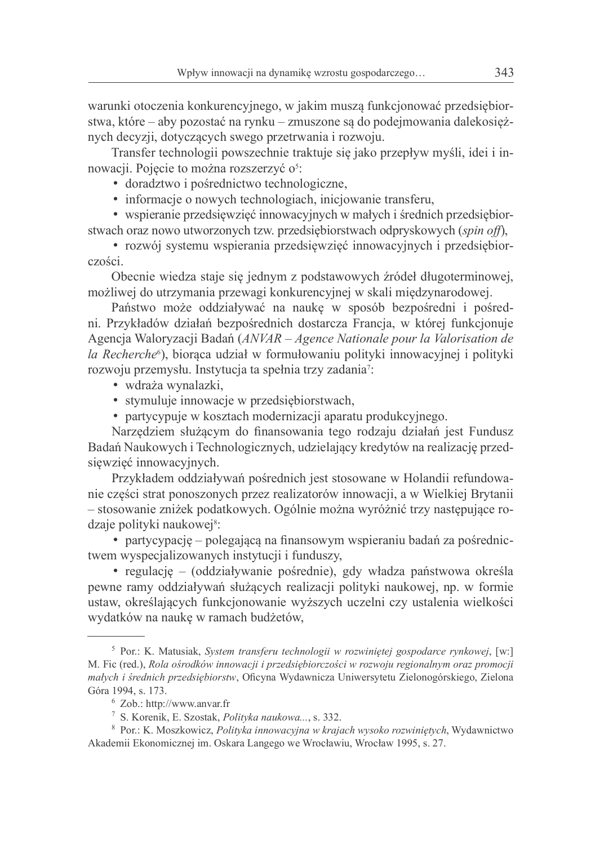warunki otoczenia konkurencyjnego, w jakim muszą funkcjonować przedsiębiorstwa, które – aby pozostać na rynku – zmuszone sa do podejmowania dalekosieżnych decyzji, dotyczących swego przetrwania i rozwoju.

Transfer technologii powszechnie traktuje się jako przepływ myśli, idei i innowacji. Pojecie to można rozszerzyć o<sup>5</sup>:

- · doradztwo i pośrednictwo technologiczne,
- informacje o nowych technologiach, inicjowanie transferu,

• wspieranie przedsiewzieć innowacyjnych w małych i średnich przedsiębiorstwach oraz nowo utworzonych tzw. przedsiębiorstwach odpryskowych (spin off),

· rozwój systemu wspierania przedsięwzięć innowacyjnych i przedsiębiorczości.

Obecnie wiedza staje się jednym z podstawowych źródeł długoterminowej, możliwej do utrzymania przewagi konkurencyjnej w skali międzynarodowej.

Państwo może oddziaływać na naukę w sposób bezpośredni i pośredni. Przykładów działań bezpośrednich dostarcza Francja, w której funkcjonuje Agencja Waloryzacji Badań (ANVAR – Agence Nationale pour la Valorisation de la Recherche<sup>6</sup>), bioraca udział w formułowaniu polityki innowacyjnej i polityki rozwoju przemysłu. Instytucja ta spełnia trzy zadania?:

- · wdraża wynalazki,
- stymuluje innowacje w przedsiębiorstwach,
- partycypuje w kosztach modernizacji aparatu produkcyjnego.

Narzędziem służącym do finansowania tego rodzaju działań jest Fundusz Badań Naukowych i Technologicznych, udzielający kredytów na realizacje przedsięwzięć innowacyjnych.

Przykładem oddziaływań pośrednich jest stosowane w Holandii refundowanie części strat ponoszonych przez realizatorów innowacji, a w Wielkiej Brytanii - stosowanie zniżek podatkowych. Ogólnie można wyróżnić trzy następujące rodzaje polityki naukowej<sup>8</sup>:

· partycypację – polegającą na finansowym wspieraniu badań za pośrednictwem wyspecjalizowanych instytucji i funduszy,

• regulację – (oddziaływanie pośrednie), gdy władza państwowa określa pewne ramy oddziaływań służących realizacji polityki naukowej, np. w formie ustaw, określających funkcjonowanie wyższych uczelni czy ustalenia wielkości wydatków na naukę w ramach budżetów,

<sup>&</sup>lt;sup>5</sup> Por.: K. Matusiak, System transferu technologii w rozwiniętej gospodarce rynkowej, [w:] M. Fic (red.), Rola ośrodków innowacji i przedsiębiorczości w rozwoju regionalnym oraz promocji malych i średnich przedsiebiorstw. Oficyna Wydawnicza Uniwersytetu Zielonogórskiego, Zielona Góra 1994, s. 173.

 $6$  Zob.: http://www.anvar.fr

<sup>&</sup>lt;sup>7</sup> S. Korenik, E. Szostak, Polityka naukowa..., s. 332.

<sup>&</sup>lt;sup>8</sup> Por.: K. Moszkowicz, Polityka innowacyjna w krajach wysoko rozwiniętych, Wydawnictwo Akademii Ekonomicznej im. Oskara Langego we Wrocławiu, Wrocław 1995, s. 27.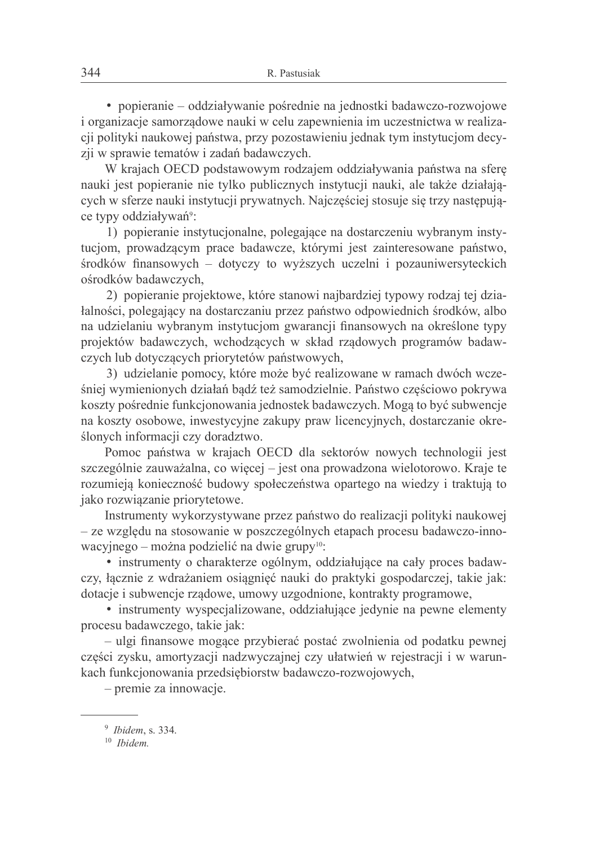• popieranie – oddziaływanie pośrednie na jednostki badawczo-rozwojowe i organizacje samorządowe nauki w celu zapewnienia im uczestnictwa w realizacji polityki naukowej państwa, przy pozostawieniu jednak tym instytucjom decyzji w sprawie tematów i zadań badawczych.

W krajach OECD podstawowym rodzajem oddziaływania państwa na sfere nauki jest popieranie nie tylko publicznych instytucji nauki, ale także działających w sferze nauki instytucji prywatnych. Najcześciej stosuje się trzy następujące typy oddziaływań<sup>9</sup>:

1) popieranie instytucionalne, polegające na dostarczeniu wybranym instytucjom, prowadzącym prace badawcze, którymi jest zainteresowane państwo, środków finansowych – dotyczy to wyższych uczelni i pozauniwersyteckich ośrodków badawczych,

2) popieranie projektowe, które stanowi najbardziej typowy rodzaj tej działalności, polegający na dostarczaniu przez państwo odpowiednich środków, albo na udzielaniu wybranym instytucjom gwarancji finansowych na określone typy projektów badawczych, wchodzących w skład rządowych programów badawczych lub dotyczących priorytetów państwowych,

3) udzielanie pomocy, które może być realizowane w ramach dwóch wcześniej wymienionych działań bądź też samodzielnie. Państwo częściowo pokrywa koszty pośrednie funkcjonowania jednostek badawczych. Mogą to być subwencje na koszty osobowe, inwestycyjne zakupy praw licencyjnych, dostarczanie określonych informacji czy doradztwo.

Pomoc państwa w krajach OECD dla sektorów nowych technologii jest szczególnie zauważalna, co więcej – jest ona prowadzona wielotorowo. Kraje te rozumieja konieczność budowy społeczeństwa opartego na wiedzy i traktuja to jako rozwiązanie priorytetowe.

Instrumenty wykorzystywane przez państwo do realizacji polityki naukowej - ze względu na stosowanie w poszczególnych etapach procesu badawczo-innowacyjnego – można podzielić na dwie grupy<sup>10</sup>:

• instrumenty o charakterze ogólnym, oddziałujące na cały proces badawczy, łącznie z wdrażaniem osiągnięć nauki do praktyki gospodarczej, takie jak: dotacje i subwencje rządowe, umowy uzgodnione, kontrakty programowe,

• instrumenty wyspecjalizowane, oddziałujące jedynie na pewne elementy procesu badawczego, takie jak:

- ulgi finansowe mogące przybierać postać zwolnienia od podatku pewnej części zysku, amortyzacji nadzwyczajnej czy ułatwień w rejestracji i w warunkach funkcjonowania przedsiębiorstw badawczo-rozwojowych,

 $-$  premie za innowacje.

 $9$  Ibidem, s. 334.

 $10$  *Ihidem*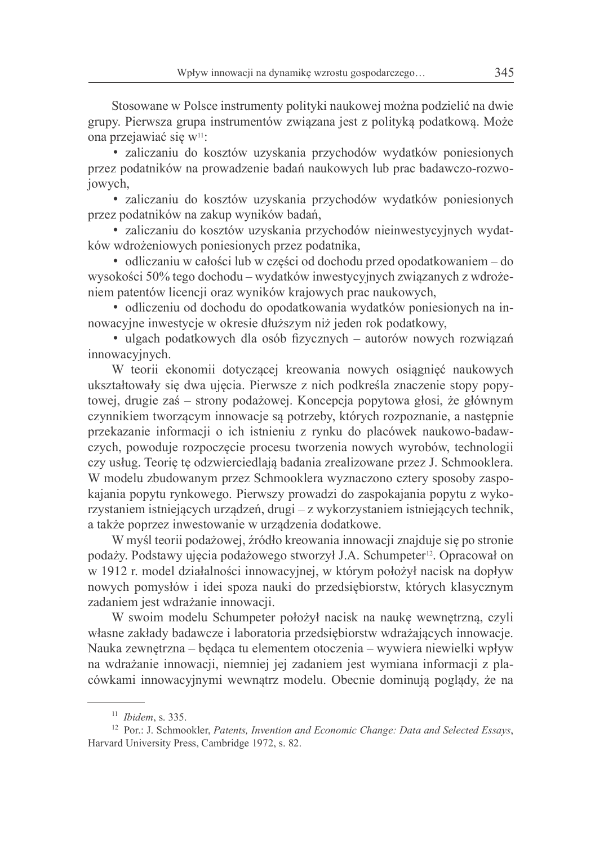Stosowane w Polsce instrumenty polityki naukowej można podzielić na dwie grupy. Pierwsza grupa instrumentów związana jest z polityką podatkowa. Może ona przejawiać się w<sup>11</sup>:

· zaliczaniu do kosztów uzyskania przychodów wydatków poniesionych przez podatników na prowadzenie badań naukowych lub prac badawczo-rozwojowych,

· zaliczaniu do kosztów uzyskania przychodów wydatków poniesionych przez podatników na zakup wyników badań,

· zaliczaniu do kosztów uzyskania przychodów nieinwestycyjnych wydatków wdrożeniowych poniesionych przez podatnika,

• odliczaniu w całości lub w części od dochodu przed opodatkowaniem – do wysokości 50% tego dochodu – wydatków inwestycyjnych związanych z wdrożeniem patentów licencji oraz wyników krajowych prac naukowych,

· odliczeniu od dochodu do opodatkowania wydatków poniesionych na innowacyjne inwestycje w okresie dłuższym niż jeden rok podatkowy,

· ulgach podatkowych dla osób fizycznych – autorów nowych rozwiązań innowacyjnych.

W teorii ekonomii dotyczącej kreowania nowych osiągnieć naukowych ukształtowały się dwa ujęcia. Pierwsze z nich podkreśla znaczenie stopy popytowej, drugie zaś – strony podażowej. Koncepcja popytowa głosi, że głównym czynnikiem tworzącym innowacje są potrzeby, których rozpoznanie, a następnie przekazanie informacji o ich istnieniu z rynku do placówek naukowo-badawczych, powoduje rozpoczęcie procesu tworzenia nowych wyrobów, technologii czy usług. Teorię tę odzwierciedlają badania zrealizowane przez J. Schmooklera. W modelu zbudowanym przez Schmooklera wyznaczono cztery sposoby zaspokajania popytu rynkowego. Pierwszy prowadzi do zaspokajania popytu z wykorzystaniem istniejących urządzeń, drugi – z wykorzystaniem istniejących technik, a także poprzez inwestowanie w urządzenia dodatkowe.

W myśl teorii podażowej, źródło kreowania innowacji znajduje się po stronie podaży. Podstawy ujęcia podażowego stworzył J.A. Schumpeter<sup>12</sup>. Opracował on w 1912 r. model działalności innowacyjnej, w którym położył nacisk na dopływ nowych pomysłów i idei spoza nauki do przedsiębiorstw, których klasycznym zadaniem jest wdrażanie innowacji.

W swoim modelu Schumpeter położył nacisk na nauke wewnętrzna, czyli własne zakłady badawcze i laboratoria przedsiębiorstw wdrażających innowacje. Nauka zewnętrzna – będąca tu elementem otoczenia – wywiera niewielki wpływ na wdrażanie innowacji, niemniej jej zadaniem jest wymiana informacji z placówkami innowacyjnymi wewnątrz modelu. Obecnie dominują poglądy, że na

 $11$  Ibidem, s. 335.

<sup>&</sup>lt;sup>12</sup> Por.: J. Schmookler, Patents, Invention and Economic Change: Data and Selected Essays, Harvard University Press, Cambridge 1972, s. 82.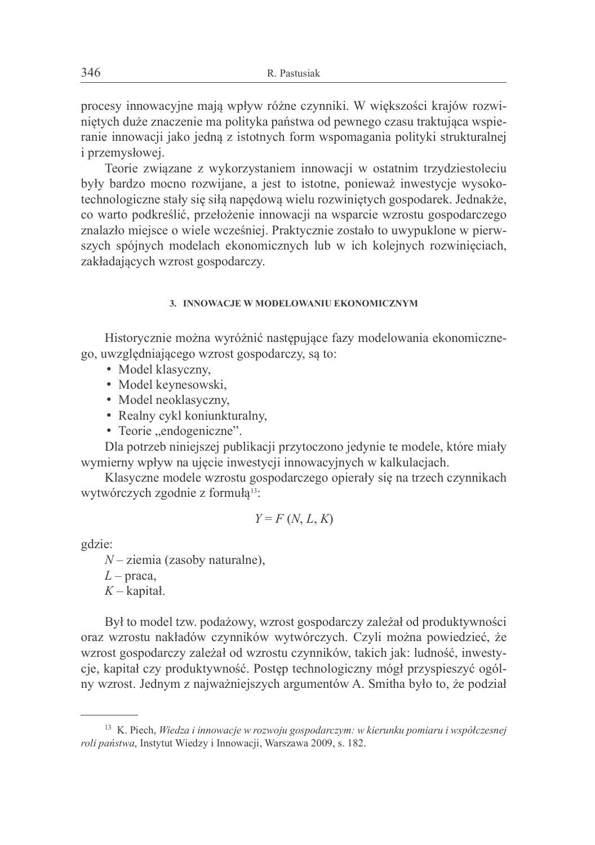procesy innowacyjne mają wpływ różne czynniki. W większości krajów rozwinietych duże znaczenie ma polityka państwa od pewnego czasu traktująca wspieranie innowacji jako jedną z istotnych form wspomagania polityki strukturalnej *i* przemysłowej.

Teorie związane z wykorzystaniem innowacji w ostatnim trzydziestoleciu były bardzo mocno rozwijane, a jest to istotne, ponieważ inwestycje wysokotechnologiczne stały się siłą napędową wielu rozwiniętych gospodarek. Jednakże, co warto podkreślić, przełożenie innowacji na wsparcie wzrostu gospodarczego znalazło miejsce o wiele wcześniej. Praktycznie zostało to uwypuklone w pierwszych spójnych modelach ekonomicznych lub w ich kolejnych rozwinięciach, zakładających wzrost gospodarczy.

#### 3 INNOWACJE W MODELOWANIII EKONOMICZNYM

Historycznie można wyróżnić następujące fazy modelowania ekonomicznego, uwzględniającego wzrost gospodarczy, są to:

- Model klasyczny,
- · Model keynesowski.
- Model neoklasyczny,
- Realny cykl koniunkturalny,
- Teorie "endogeniczne".

Dla potrzeb niniejszej publikacji przytoczono jedynie te modele, które miały wymierny wpływ na ujęcie inwestycji innowacyjnych w kalkulacjach.

Klasyczne modele wzrostu gospodarczego opierały się na trzech czynnikach wytwórczych zgodnie z formuła<sup>13</sup>:

$$
Y = F(N, L, K)
$$

gdzie:

 $N$  – ziemia (zasoby naturalne),

 $L$  – praca,

 $K$  – kapital.

Był to model tzw. podażowy, wzrost gospodarczy zależał od produktywności oraz wzrostu nakładów czynników wytwórczych. Czyli można powiedzieć, że wzrost gospodarczy zależał od wzrostu czynników, takich jak: ludność, inwestycje, kapitał czy produktywność. Postęp technologiczny mógł przyspieszyć ogólny wzrost. Jednym z najważniejszych argumentów A. Smitha było to, że podział

 $13$  K. Piech, Wiedza i innowacje w rozwoju gospodarczym: w kierunku pomiaru i współczesnej roli państwa, Instytut Wiedzy i Innowacji, Warszawa 2009, s. 182.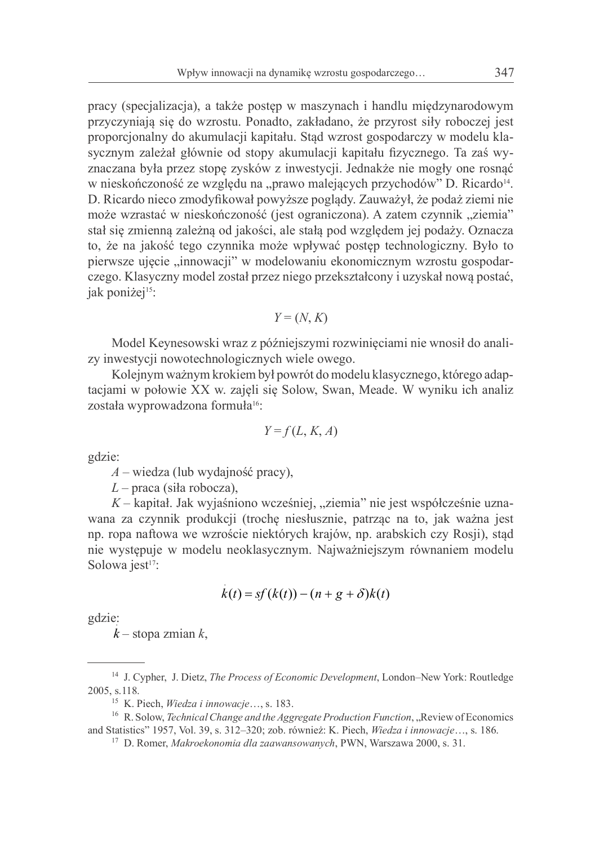pracy (specjalizacja), a także postęp w maszynach i handlu międzynarodowym przyczyniają się do wzrostu. Ponadto, zakładano, że przyrost siły roboczej jest proporcjonalny do akumulacji kapitału. Stąd wzrost gospodarczy w modelu klasycznym zależał głównie od stopy akumulacji kapitału fizycznego. Ta zaś wyznaczana była przez stope zysków z inwestycji. Jednakże nie mogły one rosnać w nieskończoność ze względu na "prawo malejących przychodów" D. Ricardo<sup>14</sup>. D. Ricardo nieco zmodyfikował powyższe poglądy. Zauważył, że podaż ziemi nie może wzrastać w nieskończoność (jest ograniczona). A zatem czynnik "ziemia" stał się zmienna zależną od jakości, ale stała pod względem jej podaży. Oznacza to, że na jakość tego czynnika może wpływać postęp technologiczny. Było to pierwsze ujęcie "innowacji" w modelowaniu ekonomicznym wzrostu gospodarczego. Klasyczny model został przez niego przekształcony i uzyskał nową postać, jak poniżej<sup>15</sup>:

$$
Y = (N, K)
$$

Model Keynesowski wraz z późniejszymi rozwinięciami nie wnosił do analizy inwestycji nowotechnologicznych wiele owego.

Kolejnym ważnym krokiem był powrót do modelu klasycznego, którego adaptacjami w połowie XX w. zajęli się Solow, Swan, Meade. W wyniku ich analiz została wyprowadzona formuła<sup>16</sup>:

$$
Y = f(L, K, A)
$$

gdzie:

 $A$  – wiedza (lub wydajność pracy),

 $L$  – praca (siła robocza),

 $K$  – kapitał. Jak wyjaśniono wcześniej, "ziemia" nie jest współcześnie uznawana za czynnik produkcji (trochę niesłusznie, patrząc na to, jak ważna jest np. ropa naftowa we wzroście niektórych krajów, np. arabskich czy Rosji), stad nie występuje w modelu neoklasycznym. Najważniejszym równaniem modelu Solowa jest<sup>17</sup>:

$$
k(t) = sf(k(t)) - (n+g+\delta)k(t)
$$

gdzie:

 $k$  – stopa zmian  $k$ ,

<sup>&</sup>lt;sup>14</sup> J. Cypher, J. Dietz, *The Process of Economic Development*, London–New York: Routledge 2005, s.118.

<sup>&</sup>lt;sup>15</sup> K. Piech, *Wiedza i innowacje...*, s. 183.

<sup>&</sup>lt;sup>16</sup> R. Solow, *Technical Change and the Aggregate Production Function*, "Review of Economics and Statistics" 1957, Vol. 39, s. 312-320; zob. również: K. Piech, Wiedza i innowacje..., s. 186.

<sup>&</sup>lt;sup>17</sup> D. Romer, Makroekonomia dla zaawansowanych, PWN, Warszawa 2000, s. 31.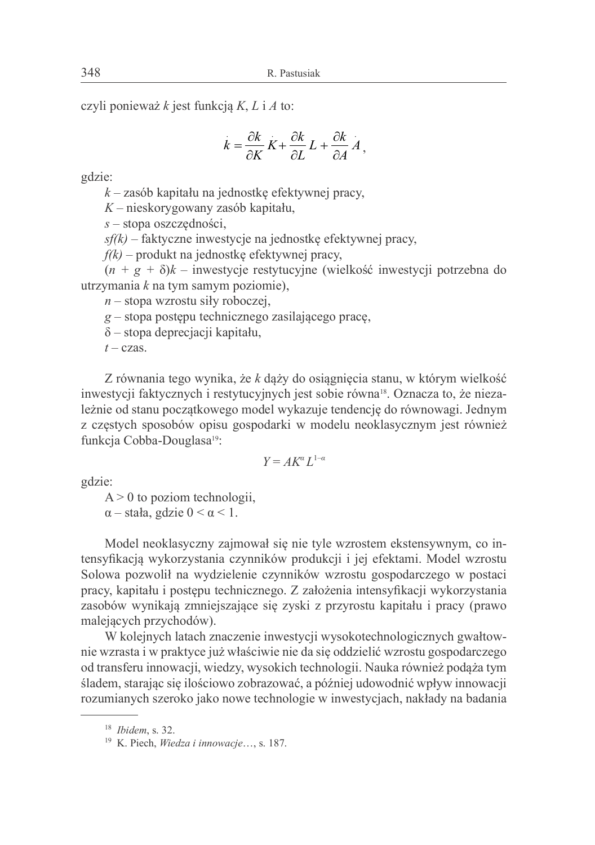czyli ponieważ k jest funkcją K, L i A to:

$$
k = \frac{\partial k}{\partial K} K + \frac{\partial k}{\partial L} L + \frac{\partial k}{\partial A} A
$$

gdzie:

 $k$  – zasób kapitału na jednostkę efektywnej pracy,

 $K$  – nieskorygowany zasób kapitału,

 $s$  – stopa oszczedności.

 $sf(k)$  – faktyczne inwestycje na jednostkę efektywnej pracy,

 $f(k)$  – produkt na jednostkę efektywnej pracy,

 $(n + g + \delta)k$  – inwestycje restytucyjne (wielkość inwestycji potrzebna do utrzymania  $k$  na tym samym poziomie),

 $n$  – stopa wzrostu siły roboczej,

 $g$  – stopa postępu technicznego zasilającego pracę,

 $\delta$  – stopa deprecjacji kapitału,

 $t$  – czas.

Z równania tego wynika, że k dąży do osiągnięcia stanu, w którym wielkość inwestycji faktycznych i restytucyjnych jest sobie równa<sup>18</sup>. Oznacza to, że niezależnie od stanu początkowego model wykazuje tendencję do równowagi. Jednym z częstych sposobów opisu gospodarki w modelu neoklasycznym jest również funkcja Cobba-Douglasa<sup>19</sup>:

$$
Y = AK^{\alpha}L^{1-\alpha}
$$

gdzie:

 $A > 0$  to poziom technologii.

 $\alpha$  – stała, gdzie  $0 < \alpha < 1$ .

Model neoklasyczny zajmował się nie tyle wzrostem ekstensywnym, co intensyfikacją wykorzystania czynników produkcji i jej efektami. Model wzrostu Solowa pozwolił na wydzielenie czynników wzrostu gospodarczego w postaci pracy, kapitału i postepu technicznego. Z założenia intensyfikacji wykorzystania zasobów wynikają zmniejszające się zyski z przyrostu kapitału i pracy (prawo malejących przychodów).

W kolejnych latach znaczenie inwestycji wysokotechnologicznych gwałtownie wzrasta i w praktyce już właściwie nie da się oddzielić wzrostu gospodarczego od transferu innowacji, wiedzy, wysokich technologii. Nauka również podąża tym śladem, starając się ilościowo zobrazować, a później udowodnić wpływ innowacji rozumianych szeroko jako nowe technologie w inwestycjach, nakłady na badania

 $18$  *Ibidem.* s. 32.

<sup>&</sup>lt;sup>19</sup> K. Piech, *Wiedza i innowacje...*, s. 187.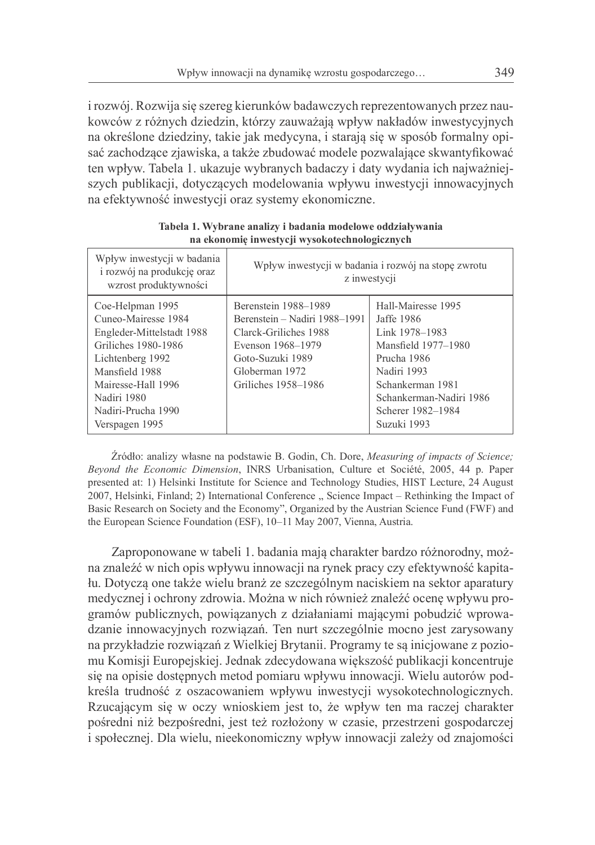i rozwój. Rozwija się szereg kierunków badawczych reprezentowanych przez naukowców z różnych dziedzin, którzy zauważają wpływ nakładów inwestycyjnych na określone dziedziny, takie jak medycyna, i starają się w sposób formalny opisać zachodzące zjawiska, a także zbudować modele pozwalające skwantyfikować ten wpływ. Tabela 1. ukazuje wybranych badaczy i daty wydania ich najważniejszych publikacji, dotyczących modelowania wpływu inwestycji innowacyjnych na efektywność inwestycji oraz systemy ekonomiczne.

| Wpływ inwestycji w badania<br>i rozwój na produkcję oraz<br>wzrost produktywności                                                                                                            | Wpływ inwestycji w badania i rozwój na stopę zwrotu<br>z inwestycji                                                                                              |                                                                                                                                                                             |
|----------------------------------------------------------------------------------------------------------------------------------------------------------------------------------------------|------------------------------------------------------------------------------------------------------------------------------------------------------------------|-----------------------------------------------------------------------------------------------------------------------------------------------------------------------------|
| Coe-Helpman 1995<br>Cuneo-Mairesse 1984<br>Engleder-Mittelstadt 1988<br>Griliches 1980-1986<br>Lichtenberg 1992<br>Mansfield 1988<br>Mairesse-Hall 1996<br>Nadiri 1980<br>Nadiri-Prucha 1990 | Berenstein 1988–1989<br>Berenstein – Nadiri 1988–1991<br>Clarck-Griliches 1988<br>Evenson 1968–1979<br>Goto-Suzuki 1989<br>Globerman 1972<br>Griliches 1958–1986 | Hall-Mairesse 1995<br>Jaffe 1986<br>Link 1978-1983<br>Mansfield 1977–1980<br>Prucha 1986<br>Nadiri 1993<br>Schankerman 1981<br>Schankerman-Nadiri 1986<br>Scherer 1982–1984 |
| Verspagen 1995                                                                                                                                                                               |                                                                                                                                                                  | Suzuki 1993                                                                                                                                                                 |

Tabela 1. Wybrane analizy i badania modelowe oddziaływania na ekonomie inwestvcji wysokotechnologicznych

Źródło: analizy własne na podstawie B. Godin, Ch. Dore, Measuring of impacts of Science; Beyond the Economic Dimension, INRS Urbanisation, Culture et Société, 2005, 44 p. Paper presented at: 1) Helsinki Institute for Science and Technology Studies, HIST Lecture, 24 August 2007, Helsinki, Finland; 2) International Conference "Science Impact – Rethinking the Impact of Basic Research on Society and the Economy", Organized by the Austrian Science Fund (FWF) and the European Science Foundation (ESF), 10-11 May 2007, Vienna, Austria.

Zaproponowane w tabeli 1. badania mają charakter bardzo różnorodny, można znaleźć w nich opis wpływu innowacji na rynek pracy czy efektywność kapitału. Dotyczą one także wielu branż ze szczególnym naciskiem na sektor aparatury medycznej i ochrony zdrowia. Można w nich również znaleźć ocenę wpływu programów publicznych, powiązanych z działaniami mającymi pobudzić wprowadzanie innowacyjnych rozwiązań. Ten nurt szczególnie mocno jest zarysowany na przykładzie rozwiązań z Wielkiej Brytanii. Programy te są inicjowane z poziomu Komisii Europejskiej. Jednak zdecydowana wiekszość publikacji koncentruje się na opisie dostępnych metod pomiaru wpływu innowacji. Wielu autorów podkreśla trudność z oszacowaniem wpływu inwestycji wysokotechnologicznych. Rzucającym się w oczy wnioskiem jest to, że wpływ ten ma raczej charakter pośredni niż bezpośredni, jest też rozłożony w czasie, przestrzeni gospodarczej i społecznej. Dla wielu, nieekonomiczny wpływ innowacji zależy od znajomości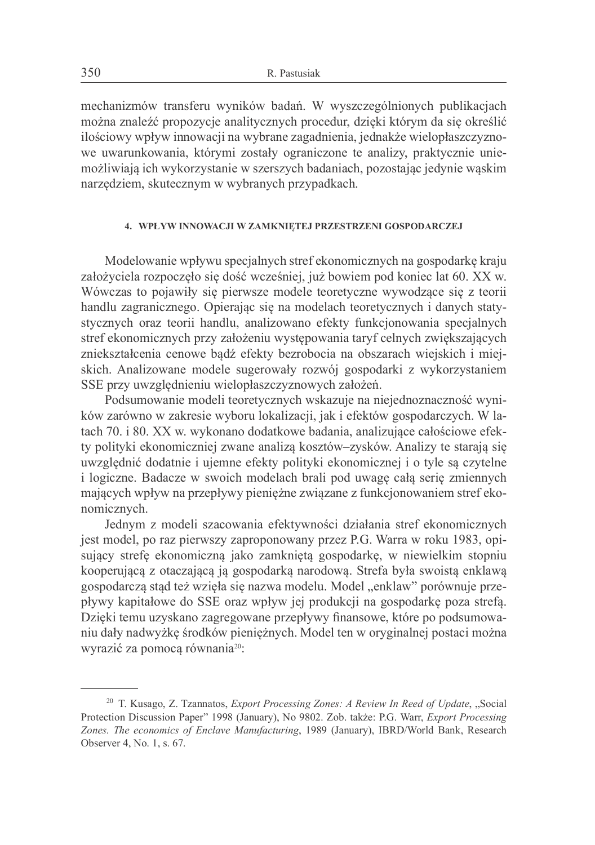mechanizmów transferu wyników badań. W wyszczególnionych publikacjach można znaleźć propozycje analitycznych procedur, dzieki którym da się określić ilościowy wpływ innowacji na wybrane zagadnienia, jednakże wielopłaszczyznowe uwarunkowania, którymi zostały ograniczone te analizy, praktycznie uniemożliwiają ich wykorzystanie w szerszych badaniach, pozostając jedynie waskim narzędziem, skutecznym w wybranych przypadkach.

### 4. WPŁYW INNOWACJI W ZAMKNIETEJ PRZESTRZENI GOSPODARCZEJ

Modelowanie wpływu specjalnych stref ekonomicznych na gospodarkę kraju założyciela rozpoczęło się dość wcześniej, już bowiem pod koniec lat 60. XX w. Wówczas to pojawiły się pierwsze modele teoretyczne wywodzące się z teorii handlu zagranicznego. Opierając się na modelach teoretycznych i danych statystycznych oraz teorii handlu, analizowano efekty funkcjonowania specjalnych stref ekonomicznych przy założeniu występowania taryf celnych zwiększających zniekształcenia cenowe bądź efekty bezrobocia na obszarach wiejskich i miejskich. Analizowane modele sugerowały rozwój gospodarki z wykorzystaniem SSE przy uwzględnieniu wielopłaszczyznowych założeń.

Podsumowanie modeli teoretycznych wskazuje na niejednoznaczność wyników zarówno w zakresie wyboru lokalizacji, jak i efektów gospodarczych. W latach 70. i 80. XX w. wykonano dodatkowe badania, analizujące całościowe efekty polityki ekonomiczniej zwane analizą kosztów–zysków. Analizy te starają się uwzględnić dodatnie i ujemne efekty polityki ekonomicznej i o tyle są czytelne i logiczne. Badacze w swoich modelach brali pod uwagę całą serię zmiennych mających wpływ na przepływy pieniężne związane z funkcjonowaniem stref ekonomicznych.

Jednym z modeli szacowania efektywności działania stref ekonomicznych jest model, po raz pierwszy zaproponowany przez P.G. Warra w roku 1983, opisujący strefę ekonomiczną jako zamkniętą gospodarkę, w niewielkim stopniu kooperujaca z otaczająca ją gospodarką narodową. Strefa była swoistą enklawą gospodarczą stąd też wzięła się nazwa modelu. Model "enklaw" porównuje przepływy kapitałowe do SSE oraz wpływ jej produkcji na gospodarkę poza strefą. Dzięki temu uzyskano zagregowane przepływy finansowe, które po podsumowaniu dały nadwyżkę środków pieniężnych. Model ten w oryginalnej postaci można wyrazić za pomocą równania<sup>20</sup>:

<sup>&</sup>lt;sup>20</sup> T. Kusago, Z. Tzannatos, *Export Processing Zones: A Review In Reed of Update*, "Social Protection Discussion Paper" 1998 (January), No 9802. Zob. także: P.G. Warr, Export Processing Zones. The economics of Enclave Manufacturing, 1989 (January), IBRD/World Bank, Research Observer 4, No. 1, s. 67.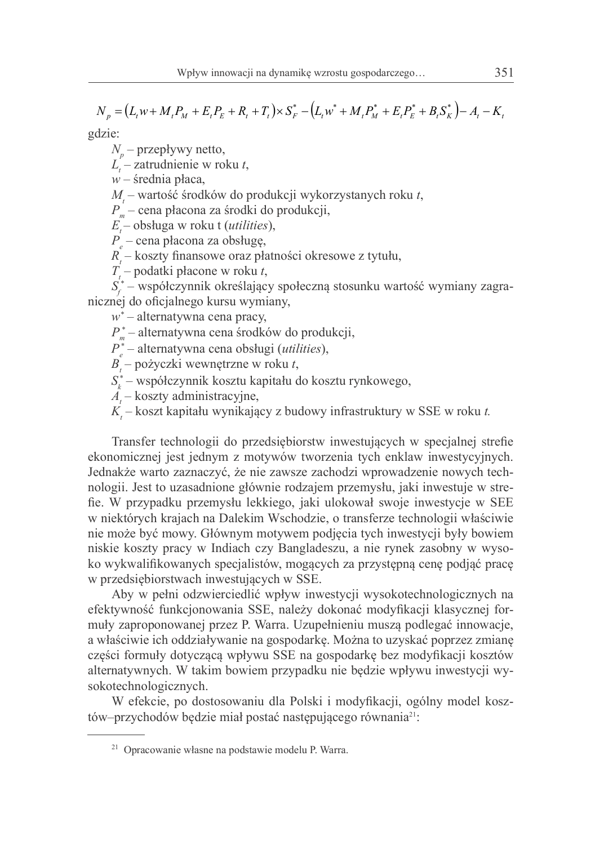$$
N_{p} = (L_{t}w + M_{t}P_{M} + E_{t}P_{E} + R_{t} + T_{t}) \times S_{F}^{*} - (L_{t}w^{*} + M_{t}P_{M}^{*} + E_{t}P_{E}^{*} + B_{t}S_{K}^{*}) - A_{t} - K_{t}
$$

gdzie:

 $N_{n}$  – przepływy netto,

 $L'$  – zatrudnienie w roku t,

 $w$  – średnia płaca,

 $M$  – wartość środków do produkcji wykorzystanych roku t,

 $P_{n}$  – cena płacona za środki do produkcji,

 $E$  – obsługa w roku t (*utilities*),

 $P$  – cena płacona za obsługe.

 $R$  – koszty finansowe oraz płatności okresowe z tytułu,

 $T$  – podatki płacone w roku t,

 $S_{\zeta}^*$  – współczynnik określający społeczną stosunku wartość wymiany zagranicznej do oficjalnego kursu wymiany,

 $w^*$  – alternatywna cena pracy,

 $P_{\mu}^*$  – alternatywna cena środków do produkcji,

 $P_{a}^{*}$  – alternatywna cena obsługi (*utilities*),

 $B$  – pożyczki wewnętrzne w roku t,

 $S_{i}^{*}$  – współczynnik kosztu kapitału do kosztu rynkowego,

 $A_{i}$  – koszty administracyjne,

 $K$  – koszt kapitału wynikający z budowy infrastruktury w SSE w roku t.

Transfer technologii do przedsiębiorstw inwestujących w specialnej strefie ekonomicznej jest jednym z motywów tworzenia tych enklaw inwestycyjnych. Jednakże warto zaznaczyć, że nie zawsze zachodzi wprowadzenie nowych technologii. Jest to uzasadnione głównie rodzajem przemysłu, jaki inwestuje w strefie. W przypadku przemysłu lekkiego, jaki ulokował swoje inwestycje w SEE w niektórych krajach na Dalekim Wschodzie, o transferze technologii właściwie nie może być mowy. Głównym motywem podjęcia tych inwestycji były bowiem niskie koszty pracy w Indiach czy Bangladeszu, a nie rynek zasobny w wysoko wykwalifikowanych specjalistów, mogących za przystępną cenę podjąć pracę w przedsiębiorstwach inwestujących w SSE.

Aby w pełni odzwierciedlić wpływ inwestycji wysokotechnologicznych na efektywność funkcjonowania SSE, należy dokonać modyfikacji klasycznej formuły zaproponowanej przez P. Warra. Uzupełnieniu muszą podlegać innowacje, a właściwie ich oddziaływanie na gospodarke. Można to uzyskać poprzez zmiane części formuły dotyczącą wpływu SSE na gospodarkę bez modyfikacji kosztów alternatywnych. W takim bowiem przypadku nie będzie wpływu inwestycji wysokotechnologicznych.

W efekcie, po dostosowaniu dla Polski i modyfikacji, ogólny model kosztów–przychodów będzie miał postać następującego równania<sup>21</sup>:

<sup>&</sup>lt;sup>21</sup> Opracowanie własne na podstawie modelu P. Warra.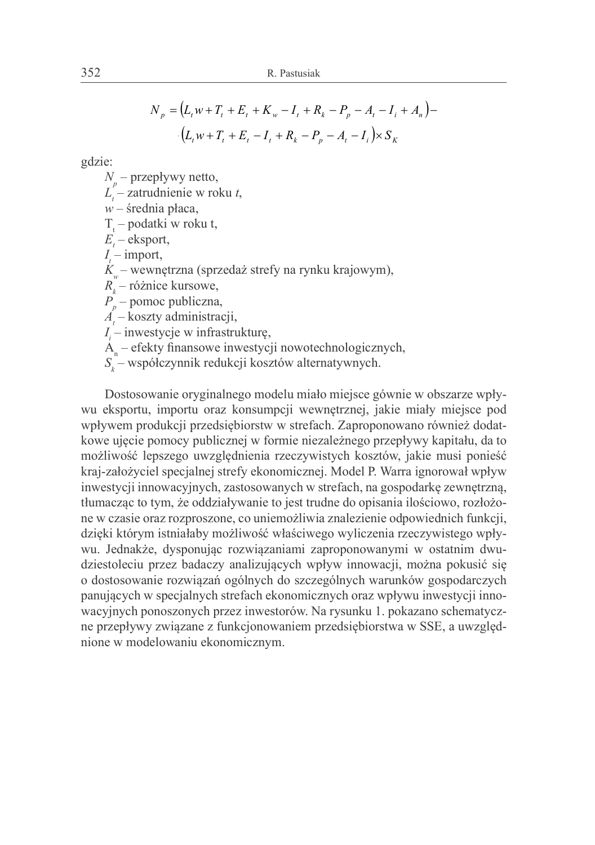$$
N_p = (L_t w + T_t + E_t + K_w - I_t + R_k - P_p - A_t - I_t + A_n) -
$$

$$
(L_t w + T_t + E_t - I_t + R_k - P_p - A_t - I_t) \times S_k
$$

gdzie:

 $N_{n}$  – przepływy netto,

- $L'$  zatrudnienie w roku t,
- $w$  średnia płaca,
- $T_{i}$  podatki w roku t,
- $E -$ eksport,

 $I$  – import,

 $K$  – wewnętrzna (sprzedaż strefy na rynku krajowym),

 $R_{i}$  – różnice kursowe,

 $P_{n}$  – pomoc publiczna,

 $\vec{A}$  – koszty administracji,

 $I_i$  – inwestycje w infrastrukturę,

- $A_n$  efekty finansowe inwestycji nowotechnologicznych,
- $S_{\iota}$  współczynnik redukcji kosztów alternatywnych.

Dostosowanie oryginalnego modelu miało miejsce gównie w obszarze wpływu eksportu, importu oraz konsumpcji wewnętrznej, jakie miały miejsce pod wpływem produkcji przedsiębiorstw w strefach. Zaproponowano również dodatkowe ujęcie pomocy publicznej w formie niezależnego przepływy kapitału, da to możliwość lepszego uwzględnienia rzeczywistych kosztów, jakie musi ponieść kraj-założyciel specjalnej strefy ekonomicznej. Model P. Warra ignorował wpływ inwestycji innowacyjnych, zastosowanych w strefach, na gospodarkę zewnętrzną, tłumacząc to tym, że oddziaływanie to jest trudne do opisania ilościowo, rozłożone w czasie oraz rozproszone, co uniemożliwia znalezienie odpowiednich funkcji, dzięki którym istniałaby możliwość właściwego wyliczenia rzeczywistego wpływu. Jednakże, dysponując rozwiązaniami zaproponowanymi w ostatnim dwudziestoleciu przez badaczy analizujących wpływ innowacji, można pokusić się o dostosowanie rozwiązań ogólnych do szczególnych warunków gospodarczych panujących w specjalnych strefach ekonomicznych oraz wpływu inwestycji innowacyjnych ponoszonych przez inwestorów. Na rysunku 1. pokazano schematyczne przepływy związane z funkcjonowaniem przedsiębiorstwa w SSE, a uwzględnione w modelowaniu ekonomicznym.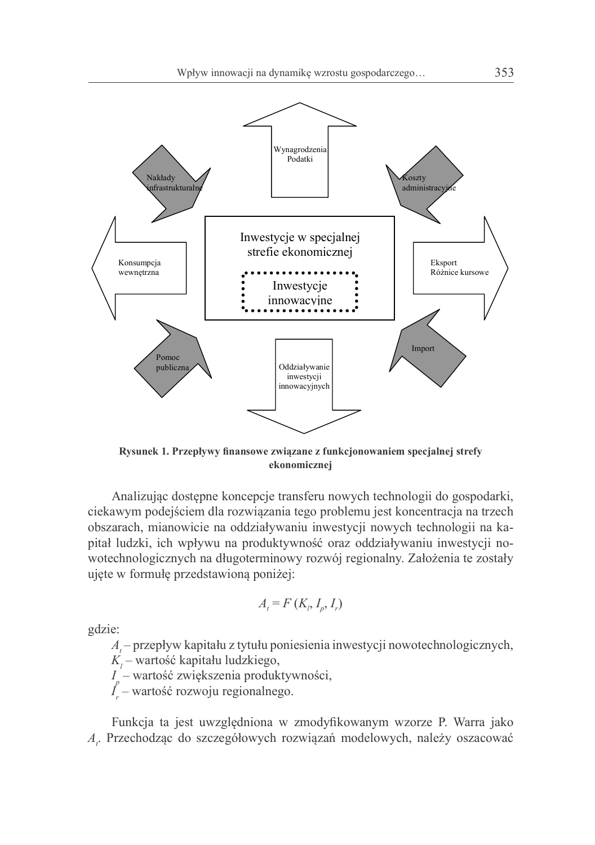

Rysunek 1. Przepływy finansowe związane z funkcjonowaniem specjalnej strefy ekonomicznej

Analizując dostępne koncepcje transferu nowych technologii do gospodarki, ciekawym podejściem dla rozwiązania tego problemu jest koncentracja na trzech obszarach, mianowicie na oddziaływaniu inwestycji nowych technologii na kapitał ludzki, ich wpływu na produktywność oraz oddziaływaniu inwestycji nowotechnologicznych na długoterminowy rozwój regionalny. Założenia te zostały ujęte w formułę przedstawioną poniżej:

$$
A_t = F(K_t, I_p, I_r)
$$

gdzie:

 $A$  – przepływ kapitału z tytułu poniesienia inwestycji nowotechnologicznych,

 $K_i$  – wartość kapitału ludzkiego,

 $I_{n}$  – wartość zwiększenia produktywności,

 $I_{r}$  – wartość rozwoju regionalnego.

Funkcja ta jest uwzględniona w zmodyfikowanym wzorze P. Warra jako A. Przechodząc do szczegółowych rozwiązań modelowych, należy oszacować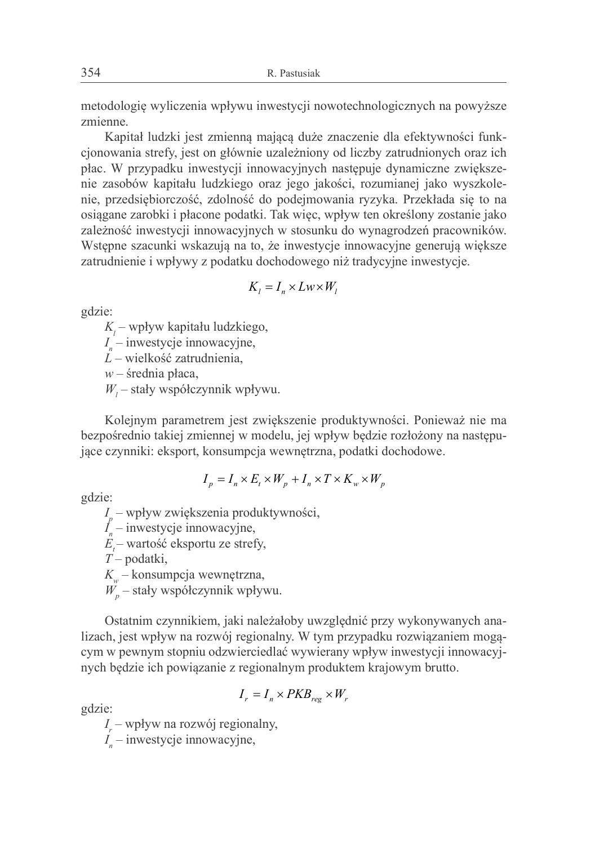metodologię wyliczenia wpływu inwestycji nowotechnologicznych na powyższe zmienne.

Kapitał ludzki jest zmienną mającą duże znaczenie dla efektywności funkcjonowania strefy, jest on głównie uzależniony od liczby zatrudnionych oraz ich płac. W przypadku inwestycji innowacyjnych następuje dynamiczne zwiekszenie zasobów kapitału ludzkiego oraz jego jakości, rozumianej jako wyszkolenie, przedsiębiorczość, zdolność do podejmowania ryzyka. Przekłada się to na osiągane zarobki i płacone podatki. Tak więc, wpływ ten określony zostanie jako zależność inwestycji innowacyjnych w stosunku do wynagrodzeń pracowników. Wstępne szacunki wskazują na to, że inwestycje innowacyjne generują większe zatrudnienie i wpływy z podatku dochodowego niż tradycyjne inwestycje.

$$
K_l = I_n \times Lw \times W_l
$$

gdzie:

 $K_i$  – wpływ kapitału ludzkiego,

 $I_{n}$  – inwestycje innowacyjne,

 $L$  – wielkość zatrudnienia,

 $w$  – średnia płaca.

 $W_i$  – stały współczynnik wpływu.

Kolejnym parametrem jest zwiększenie produktywności. Ponieważ nie ma bezpośrednio takiej zmiennej w modelu, jej wpływ będzie rozłożony na następujące czynniki: eksport, konsumpcja wewnętrzna, podatki dochodowe.

$$
I_p = I_n \times E_t \times W_p + I_n \times T \times K_w \times W_p
$$

gdzie:

 $I_{n}$  – wpływ zwiększenia produktywności,

 $I_{n}$  – inwestycje innowacyjne,

 $E -$  wartość eksportu ze strefy,

 $T$  – podatki,

 $K_w$  – konsumpcja wewnętrzna,

 $W_p$  – stały współczynnik wpływu.

Ostatním czynnikiem, jaki należałoby uwzględnić przy wykonywanych analizach, jest wpływ na rozwój regionalny. W tym przypadku rozwiązaniem mogącym w pewnym stopniu odzwierciedlać wywierany wpływ inwestycji innowacyjnych będzie ich powiązanie z regionalnym produktem krajowym brutto.

$$
I_r = I_n \times PKB_{reg} \times W_r
$$

gdzie:

 $I_{n}$  – wpływ na rozwój regionalny,

 $I_{n}$  – inwestycje innowacyjne,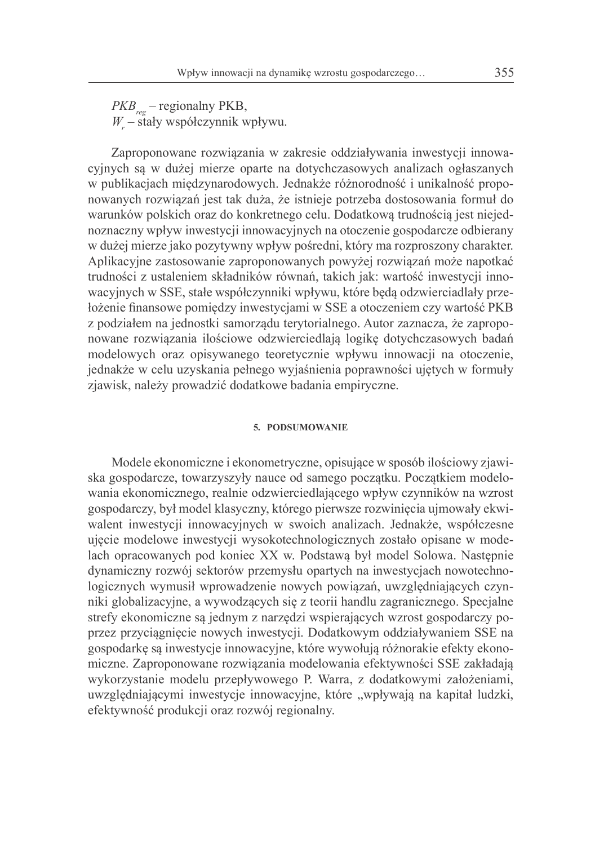$PKB_{\text{rec}}$  – regionalny PKB,  $W$  – stały współczynnik wpływu.

Zaproponowane rozwiązania w zakresie oddziaływania inwestycji innowacyjnych sa w dużej mierze oparte na dotychczasowych analizach ogłaszanych w publikacjach międzynarodowych. Jednakże różnorodność i unikalność proponowanych rozwiązań jest tak duża, że istnieje potrzeba dostosowania formuł do warunków polskich oraz do konkretnego celu. Dodatkowa trudnościa jest niejednoznaczny wpływ inwestycji innowacyjnych na otoczenie gospodarcze odbierany w dużej mierze jako pozytywny wpływ pośredni, który ma rozproszony charakter. Aplikacyjne zastosowanie zaproponowanych powyżej rozwiazań może napotkać trudności z ustaleniem składników równań, takich jak: wartość inwestycji innowacyjnych w SSE, stałe współczynniki wpływu, które będą odzwierciadlały przełożenie finansowe pomiędzy inwestycjami w SSE a otoczeniem czy wartość PKB z podziałem na jednostki samorządu terytorialnego. Autor zaznacza, że zaproponowane rozwiązania ilościowe odzwierciedlają logikę dotychczasowych badań modelowych oraz opisywanego teoretycznie wpływu innowacji na otoczenie, jednakże w celu uzyskania pełnego wyjaśnienia poprawności ujętych w formuły zjawisk, należy prowadzić dodatkowe badania empiryczne.

## 5. PODSUMOWANIE

Modele ekonomiczne i ekonometryczne, opisujące w sposób ilościowy zjawiska gospodarcze, towarzyszyły nauce od samego początku. Początkiem modelowania ekonomicznego, realnie odzwierciedlającego wpływ czynników na wzrost gospodarczy, był model klasyczny, którego pierwsze rozwinięcia ujmowały ekwiwalent inwestycji innowacyjnych w swoich analizach. Jednakże, współczesne ujęcie modelowe inwestycji wysokotechnologicznych zostało opisane w modelach opracowanych pod koniec XX w. Podstawą był model Solowa. Następnie dynamiczny rozwój sektorów przemysłu opartych na inwestycjąch nowotechnologicznych wymusił wprowadzenie nowych powiązań, uwzględniających czynniki globalizacyjne, a wywodzących się z teorii handlu zagranicznego. Specjalne strefy ekonomiczne są jednym z narzędzi wspierających wzrost gospodarczy poprzez przyciągnięcie nowych inwestycji. Dodatkowym oddziaływaniem SSE na gospodarkę są inwestycje innowacyjne, które wywołują różnorakie efekty ekonomiczne. Zaproponowane rozwiązania modelowania efektywności SSE zakładają wykorzystanie modelu przepływowego P. Warra, z dodatkowymi założeniami, uwzględniającymi inwestycje innowacyjne, które "wpływają na kapitał ludzki, efektywność produkcji oraz rozwój regionalny.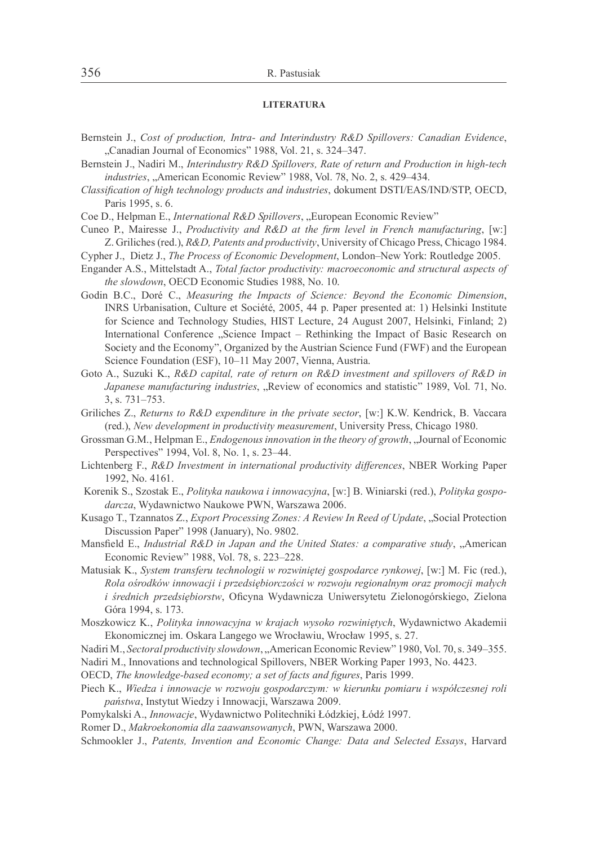#### **LITERATURA**

- Bernstein J., Cost of production, Intra- and Interindustry R&D Spillovers: Canadian Evidence, "Canadian Journal of Economics" 1988, Vol. 21, s. 324-347.
- Bernstein J., Nadiri M., Interindustry R&D Spillovers, Rate of return and Production in high-tech *industries*, "American Economic Review" 1988, Vol. 78, No. 2, s. 429–434.
- Classification of high technology products and industries, dokument DSTI/EAS/IND/STP, OECD, Paris 1995, s. 6.

Coe D., Helpman E., *International R&D Spillovers*, "European Economic Review"

- Cuneo P., Mairesse J., Productivity and R&D at the firm level in French manufacturing, [w:] Z. Griliches (red.), R&D, Patents and productivity, University of Chicago Press, Chicago 1984.
- Cypher J., Dietz J., The Process of Economic Development, London-New York: Routledge 2005.
- Engander A.S., Mittelstadt A., Total factor productivity: macroeconomic and structural aspects of the slowdown, OECD Economic Studies 1988, No. 10.
- Godin B.C., Doré C., Measuring the Impacts of Science: Bevond the Economic Dimension, INRS Urbanisation, Culture et Société, 2005, 44 p. Paper presented at: 1) Helsinki Institute for Science and Technology Studies, HIST Lecture, 24 August 2007, Helsinki, Finland; 2) International Conference "Science Impact – Rethinking the Impact of Basic Research on Society and the Economy", Organized by the Austrian Science Fund (FWF) and the European Science Foundation (ESF), 10-11 May 2007, Vienna, Austria.
- Goto A., Suzuki K., R&D capital, rate of return on R&D investment and spillovers of R&D in Japanese manufacturing industries, "Review of economics and statistic" 1989, Vol. 71, No.  $3. s. 731 - 753.$
- Griliches Z., Returns to R&D expenditure in the private sector, [w:] K.W. Kendrick, B. Vaccara (red.), New development in productivity measurement, University Press, Chicago 1980.
- Grossman G.M., Helpman E., *Endogenous innovation in the theory of growth*, "Journal of Economic Perspectives" 1994, Vol. 8, No. 1, s. 23–44.
- Lichtenberg F., R&D Investment in international productivity differences, NBER Working Paper 1992, No. 4161.
- Korenik S., Szostak E., Polityka naukowa i innowacyjna, [w:] B. Winiarski (red.), Polityka gospodarcza, Wydawnictwo Naukowe PWN, Warszawa 2006.
- Kusago T., Tzannatos Z., Export Processing Zones: A Review In Reed of Update, "Social Protection Discussion Paper" 1998 (January), No. 9802.
- Mansfield E., Industrial R&D in Japan and the United States: a comparative study, "American Economic Review" 1988, Vol. 78, s. 223-228.
- Matusiak K., System transferu technologii w rozwiniętej gospodarce rynkowej, [w:] M. Fic (red.), Rola ośrodków innowacji i przedsiębiorczości w rozwoju regionalnym oraz promocji małych i średnich przedsiębiorstw, Oficyna Wydawnicza Uniwersytetu Zielonogórskiego, Zielona Góra 1994, s. 173.
- Moszkowicz K., Polityka innowacyjna w krajach wysoko rozwiniętych, Wydawnictwo Akademii Ekonomicznej im. Oskara Langego we Wrocławiu, Wrocław 1995, s. 27.
- Nadiri M., Sectoral productivity slowdown, "American Economic Review" 1980, Vol. 70, s. 349–355.

Nadiri M., Innovations and technological Spillovers, NBER Working Paper 1993, No. 4423.

- OECD, The knowledge-based economy; a set of facts and figures, Paris 1999.
- Piech K., Wiedza i innowacje w rozwoju gospodarczym: w kierunku pomiaru i współczesnej roli państwa, Instytut Wiedzy i Innowacji, Warszawa 2009.
- Pomykalski A., *Innowacje*, Wydawnictwo Politechniki Łódzkiej, Łódź 1997.

Romer D., Makroekonomia dla zaawansowanych, PWN, Warszawa 2000.

Schmookler J., Patents, Invention and Economic Change: Data and Selected Essays, Harvard